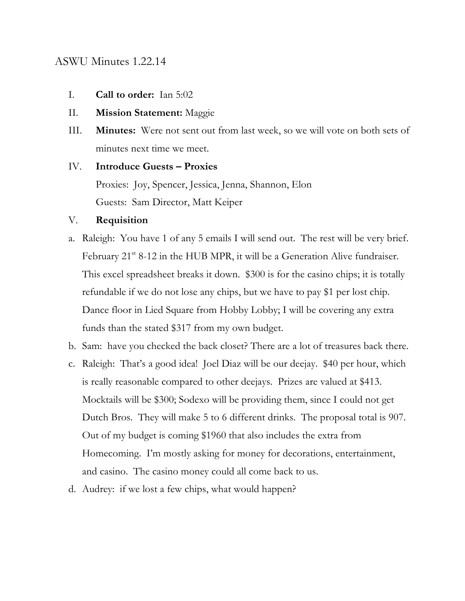### ASWU Minutes 1.22.14

- I. **Call to order:** Ian 5:02
- II. **Mission Statement:** Maggie
- III. **Minutes:** Were not sent out from last week, so we will vote on both sets of minutes next time we meet.

# IV. **Introduce Guests – Proxies** Proxies: Joy, Spencer, Jessica, Jenna, Shannon, Elon Guests: Sam Director, Matt Keiper

#### V. **Requisition**

- a. Raleigh: You have 1 of any 5 emails I will send out. The rest will be very brief. February 21<sup>st</sup> 8-12 in the HUB MPR, it will be a Generation Alive fundraiser. This excel spreadsheet breaks it down. \$300 is for the casino chips; it is totally refundable if we do not lose any chips, but we have to pay \$1 per lost chip. Dance floor in Lied Square from Hobby Lobby; I will be covering any extra funds than the stated \$317 from my own budget.
- b. Sam: have you checked the back closet? There are a lot of treasures back there.
- c. Raleigh: That's a good idea! Joel Diaz will be our deejay. \$40 per hour, which is really reasonable compared to other deejays. Prizes are valued at \$413. Mocktails will be \$300; Sodexo will be providing them, since I could not get Dutch Bros. They will make 5 to 6 different drinks. The proposal total is 907. Out of my budget is coming \$1960 that also includes the extra from Homecoming. I'm mostly asking for money for decorations, entertainment, and casino. The casino money could all come back to us.
- d. Audrey: if we lost a few chips, what would happen?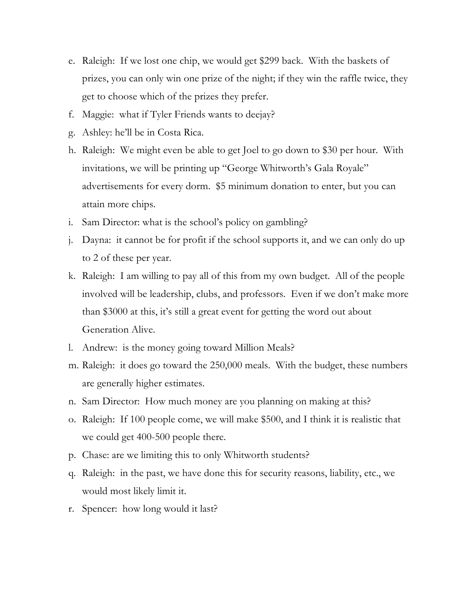- e. Raleigh: If we lost one chip, we would get \$299 back. With the baskets of prizes, you can only win one prize of the night; if they win the raffle twice, they get to choose which of the prizes they prefer.
- f. Maggie: what if Tyler Friends wants to deejay?
- g. Ashley: he'll be in Costa Rica.
- h. Raleigh: We might even be able to get Joel to go down to \$30 per hour. With invitations, we will be printing up "George Whitworth's Gala Royale" advertisements for every dorm. \$5 minimum donation to enter, but you can attain more chips.
- i. Sam Director: what is the school's policy on gambling?
- j. Dayna: it cannot be for profit if the school supports it, and we can only do up to 2 of these per year.
- k. Raleigh: I am willing to pay all of this from my own budget. All of the people involved will be leadership, clubs, and professors. Even if we don't make more than \$3000 at this, it's still a great event for getting the word out about Generation Alive.
- l. Andrew: is the money going toward Million Meals?
- m. Raleigh: it does go toward the 250,000 meals. With the budget, these numbers are generally higher estimates.
- n. Sam Director: How much money are you planning on making at this?
- o. Raleigh: If 100 people come, we will make \$500, and I think it is realistic that we could get 400-500 people there.
- p. Chase: are we limiting this to only Whitworth students?
- q. Raleigh: in the past, we have done this for security reasons, liability, etc., we would most likely limit it.
- r. Spencer: how long would it last?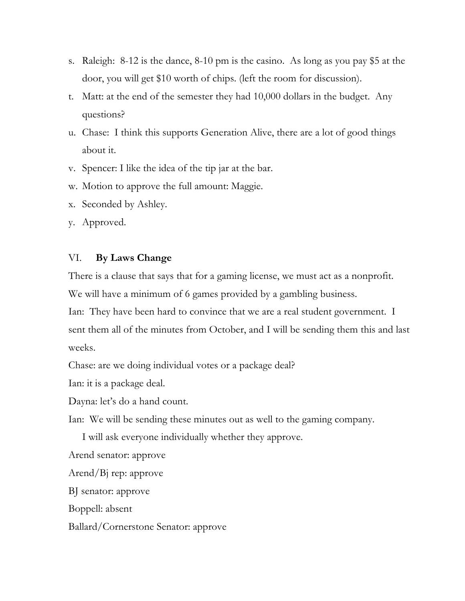- s. Raleigh: 8-12 is the dance, 8-10 pm is the casino. As long as you pay \$5 at the door, you will get \$10 worth of chips. (left the room for discussion).
- t. Matt: at the end of the semester they had 10,000 dollars in the budget. Any questions?
- u. Chase: I think this supports Generation Alive, there are a lot of good things about it.
- v. Spencer: I like the idea of the tip jar at the bar.
- w. Motion to approve the full amount: Maggie.
- x. Seconded by Ashley.
- y. Approved.

## VI. **By Laws Change**

There is a clause that says that for a gaming license, we must act as a nonprofit.

We will have a minimum of 6 games provided by a gambling business.

Ian: They have been hard to convince that we are a real student government. I sent them all of the minutes from October, and I will be sending them this and last weeks.

Chase: are we doing individual votes or a package deal?

Ian: it is a package deal.

Dayna: let's do a hand count.

Ian: We will be sending these minutes out as well to the gaming company.

I will ask everyone individually whether they approve.

Arend senator: approve

Arend/Bj rep: approve

BJ senator: approve

Boppell: absent

Ballard/Cornerstone Senator: approve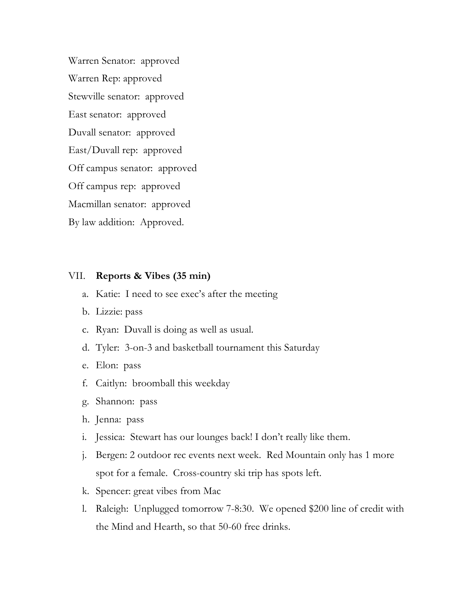Warren Senator: approved Warren Rep: approved Stewville senator: approved East senator: approved Duvall senator: approved East/Duvall rep: approved Off campus senator: approved Off campus rep: approved Macmillan senator: approved By law addition: Approved.

#### VII. **Reports & Vibes (35 min)**

- a. Katie: I need to see exec's after the meeting
- b. Lizzie: pass
- c. Ryan: Duvall is doing as well as usual.
- d. Tyler: 3-on-3 and basketball tournament this Saturday
- e. Elon: pass
- f. Caitlyn: broomball this weekday
- g. Shannon: pass
- h. Jenna: pass
- i. Jessica: Stewart has our lounges back! I don't really like them.
- j. Bergen: 2 outdoor rec events next week. Red Mountain only has 1 more spot for a female. Cross-country ski trip has spots left.
- k. Spencer: great vibes from Mac
- l. Raleigh: Unplugged tomorrow 7-8:30. We opened \$200 line of credit with the Mind and Hearth, so that 50-60 free drinks.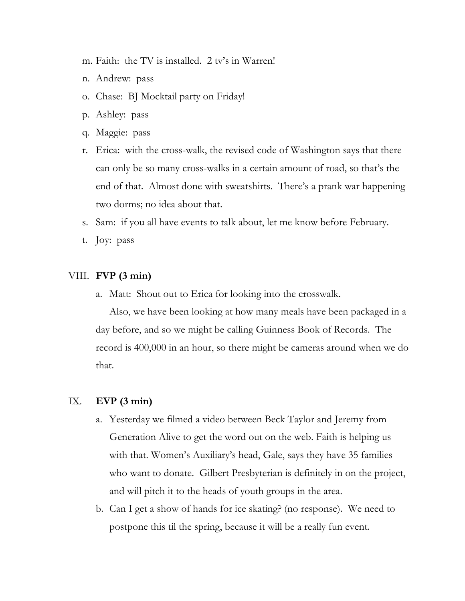- m. Faith: the TV is installed. 2 tv's in Warren!
- n. Andrew: pass
- o. Chase: BJ Mocktail party on Friday!
- p. Ashley: pass
- q. Maggie: pass
- r. Erica: with the cross-walk, the revised code of Washington says that there can only be so many cross-walks in a certain amount of road, so that's the end of that. Almost done with sweatshirts. There's a prank war happening two dorms; no idea about that.
- s. Sam: if you all have events to talk about, let me know before February.
- t. Joy: pass

#### VIII. **FVP (3 min)**

a. Matt: Shout out to Erica for looking into the crosswalk.

Also, we have been looking at how many meals have been packaged in a day before, and so we might be calling Guinness Book of Records. The record is 400,000 in an hour, so there might be cameras around when we do that.

#### IX. **EVP (3 min)**

- a. Yesterday we filmed a video between Beck Taylor and Jeremy from Generation Alive to get the word out on the web. Faith is helping us with that. Women's Auxiliary's head, Gale, says they have 35 families who want to donate. Gilbert Presbyterian is definitely in on the project, and will pitch it to the heads of youth groups in the area.
- b. Can I get a show of hands for ice skating? (no response). We need to postpone this til the spring, because it will be a really fun event.